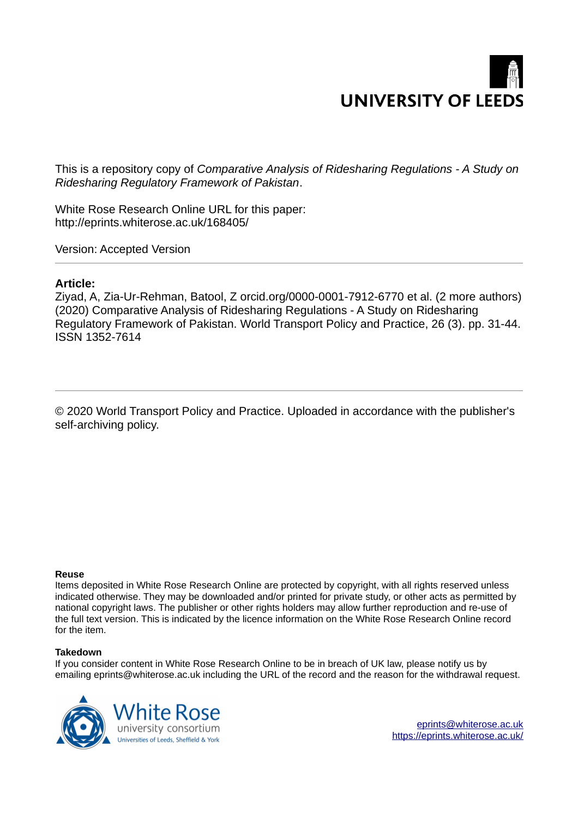# **UNIVERSITY OF LEEDS**

This is a repository copy of *Comparative Analysis of Ridesharing Regulations - A Study on Ridesharing Regulatory Framework of Pakistan*.

White Rose Research Online URL for this paper: http://eprints.whiterose.ac.uk/168405/

Version: Accepted Version

# **Article:**

Ziyad, A, Zia-Ur-Rehman, Batool, Z orcid.org/0000-0001-7912-6770 et al. (2 more authors) (2020) Comparative Analysis of Ridesharing Regulations - A Study on Ridesharing Regulatory Framework of Pakistan. World Transport Policy and Practice, 26 (3). pp. 31-44. ISSN 1352-7614

© 2020 World Transport Policy and Practice. Uploaded in accordance with the publisher's self-archiving policy.

#### **Reuse**

Items deposited in White Rose Research Online are protected by copyright, with all rights reserved unless indicated otherwise. They may be downloaded and/or printed for private study, or other acts as permitted by national copyright laws. The publisher or other rights holders may allow further reproduction and re-use of the full text version. This is indicated by the licence information on the White Rose Research Online record for the item.

## **Takedown**

If you consider content in White Rose Research Online to be in breach of UK law, please notify us by emailing eprints@whiterose.ac.uk including the URL of the record and the reason for the withdrawal request.



eprints@whiterose.ac.uk https://eprints.whiterose.ac.uk/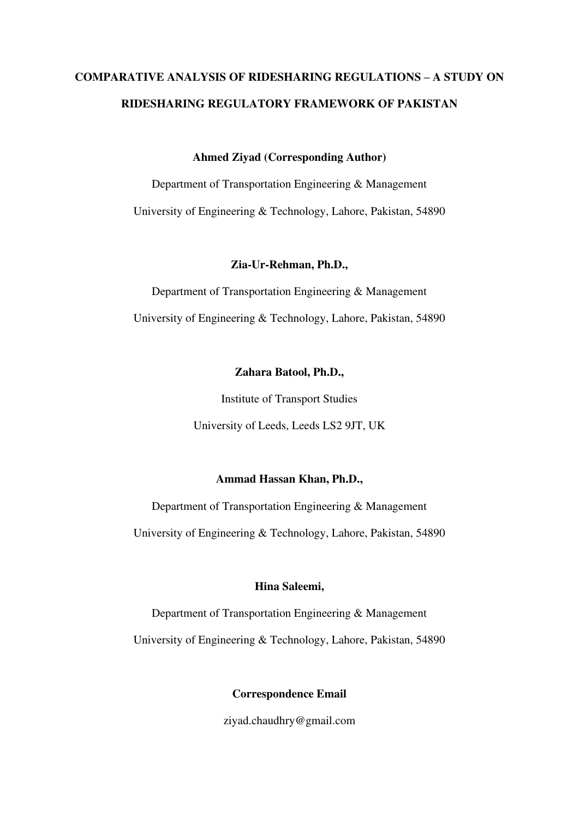# **COMPARATIVE ANALYSIS OF RIDESHARING REGULATIONS – A STUDY ON RIDESHARING REGULATORY FRAMEWORK OF PAKISTAN**

**Ahmed Ziyad (Corresponding Author)** 

Department of Transportation Engineering & Management University of Engineering & Technology, Lahore, Pakistan, 54890

**Zia-Ur-Rehman, Ph.D.,** 

Department of Transportation Engineering & Management University of Engineering & Technology, Lahore, Pakistan, 54890

# **Zahara Batool, Ph.D.,**

Institute of Transport Studies

University of Leeds, Leeds LS2 9JT, UK

# **Ammad Hassan Khan, Ph.D.,**

Department of Transportation Engineering & Management

University of Engineering & Technology, Lahore, Pakistan, 54890

# **Hina Saleemi,**

Department of Transportation Engineering & Management University of Engineering & Technology, Lahore, Pakistan, 54890

**Correspondence Email** 

ziyad.chaudhry@gmail.com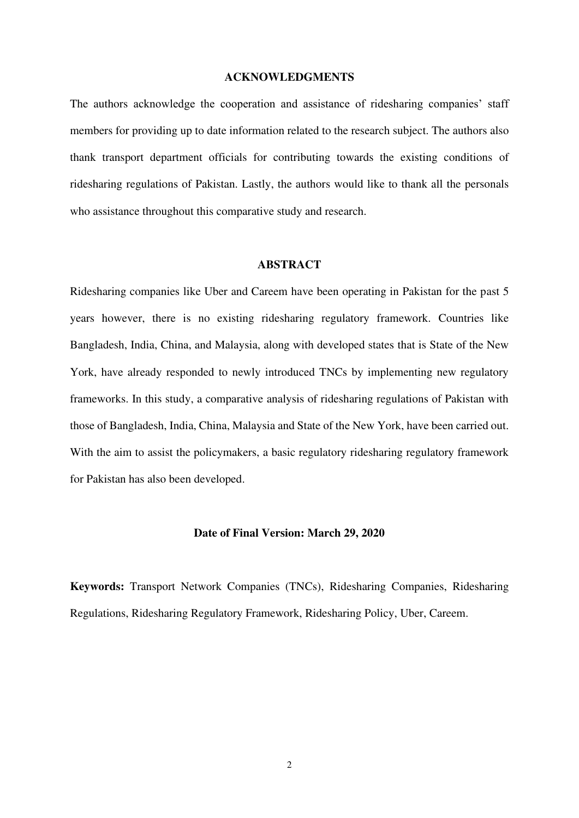#### **ACKNOWLEDGMENTS**

The authors acknowledge the cooperation and assistance of ridesharing companies' staff members for providing up to date information related to the research subject. The authors also thank transport department officials for contributing towards the existing conditions of ridesharing regulations of Pakistan. Lastly, the authors would like to thank all the personals who assistance throughout this comparative study and research.

# **ABSTRACT**

Ridesharing companies like Uber and Careem have been operating in Pakistan for the past 5 years however, there is no existing ridesharing regulatory framework. Countries like Bangladesh, India, China, and Malaysia, along with developed states that is State of the New York, have already responded to newly introduced TNCs by implementing new regulatory frameworks. In this study, a comparative analysis of ridesharing regulations of Pakistan with those of Bangladesh, India, China, Malaysia and State of the New York, have been carried out. With the aim to assist the policymakers, a basic regulatory ridesharing regulatory framework for Pakistan has also been developed.

#### **Date of Final Version: March 29, 2020**

**Keywords:** Transport Network Companies (TNCs), Ridesharing Companies, Ridesharing Regulations, Ridesharing Regulatory Framework, Ridesharing Policy, Uber, Careem.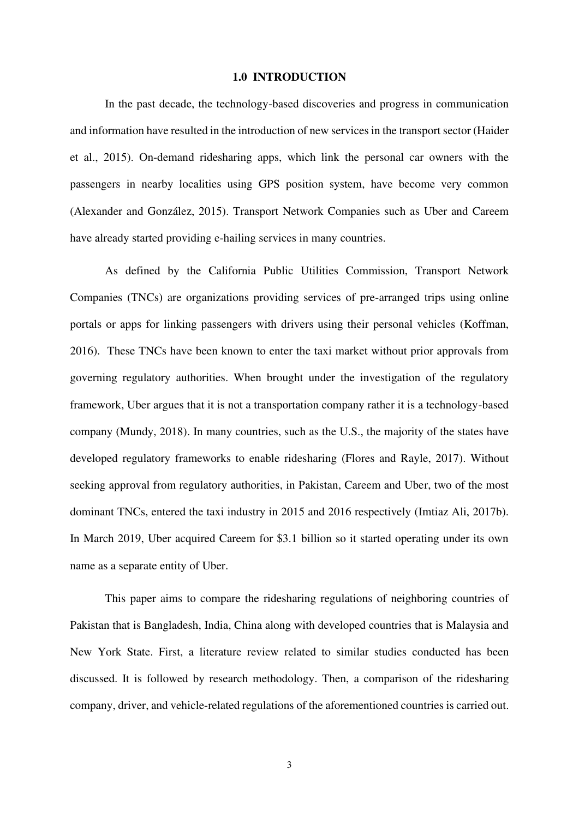#### **1.0 INTRODUCTION**

In the past decade, the technology-based discoveries and progress in communication and information have resulted in the introduction of new services in the transport sector (Haider et al., 2015). On-demand ridesharing apps, which link the personal car owners with the passengers in nearby localities using GPS position system, have become very common (Alexander and González, 2015). Transport Network Companies such as Uber and Careem have already started providing e-hailing services in many countries.

As defined by the California Public Utilities Commission, Transport Network Companies (TNCs) are organizations providing services of pre-arranged trips using online portals or apps for linking passengers with drivers using their personal vehicles (Koffman, 2016). These TNCs have been known to enter the taxi market without prior approvals from governing regulatory authorities. When brought under the investigation of the regulatory framework, Uber argues that it is not a transportation company rather it is a technology-based company (Mundy, 2018). In many countries, such as the U.S., the majority of the states have developed regulatory frameworks to enable ridesharing (Flores and Rayle, 2017). Without seeking approval from regulatory authorities, in Pakistan, Careem and Uber, two of the most dominant TNCs, entered the taxi industry in 2015 and 2016 respectively (Imtiaz Ali, 2017b). In March 2019, Uber acquired Careem for \$3.1 billion so it started operating under its own name as a separate entity of Uber.

This paper aims to compare the ridesharing regulations of neighboring countries of Pakistan that is Bangladesh, India, China along with developed countries that is Malaysia and New York State. First, a literature review related to similar studies conducted has been discussed. It is followed by research methodology. Then, a comparison of the ridesharing company, driver, and vehicle-related regulations of the aforementioned countries is carried out.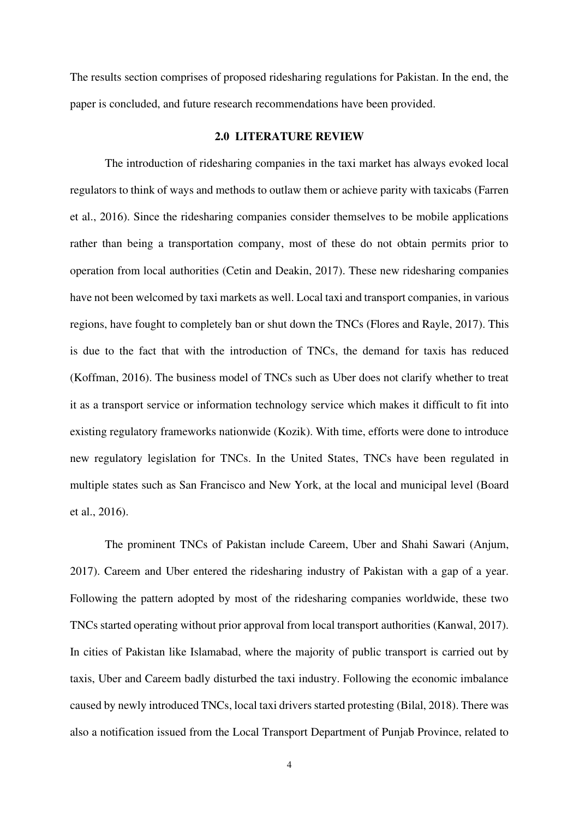The results section comprises of proposed ridesharing regulations for Pakistan. In the end, the paper is concluded, and future research recommendations have been provided.

# **2.0 LITERATURE REVIEW**

The introduction of ridesharing companies in the taxi market has always evoked local regulators to think of ways and methods to outlaw them or achieve parity with taxicabs (Farren et al., 2016). Since the ridesharing companies consider themselves to be mobile applications rather than being a transportation company, most of these do not obtain permits prior to operation from local authorities (Cetin and Deakin, 2017). These new ridesharing companies have not been welcomed by taxi markets as well. Local taxi and transport companies, in various regions, have fought to completely ban or shut down the TNCs (Flores and Rayle, 2017). This is due to the fact that with the introduction of TNCs, the demand for taxis has reduced (Koffman, 2016). The business model of TNCs such as Uber does not clarify whether to treat it as a transport service or information technology service which makes it difficult to fit into existing regulatory frameworks nationwide (Kozik). With time, efforts were done to introduce new regulatory legislation for TNCs. In the United States, TNCs have been regulated in multiple states such as San Francisco and New York, at the local and municipal level (Board et al., 2016).

The prominent TNCs of Pakistan include Careem, Uber and Shahi Sawari (Anjum, 2017). Careem and Uber entered the ridesharing industry of Pakistan with a gap of a year. Following the pattern adopted by most of the ridesharing companies worldwide, these two TNCs started operating without prior approval from local transport authorities (Kanwal, 2017). In cities of Pakistan like Islamabad, where the majority of public transport is carried out by taxis, Uber and Careem badly disturbed the taxi industry. Following the economic imbalance caused by newly introduced TNCs, local taxi drivers started protesting (Bilal, 2018). There was also a notification issued from the Local Transport Department of Punjab Province, related to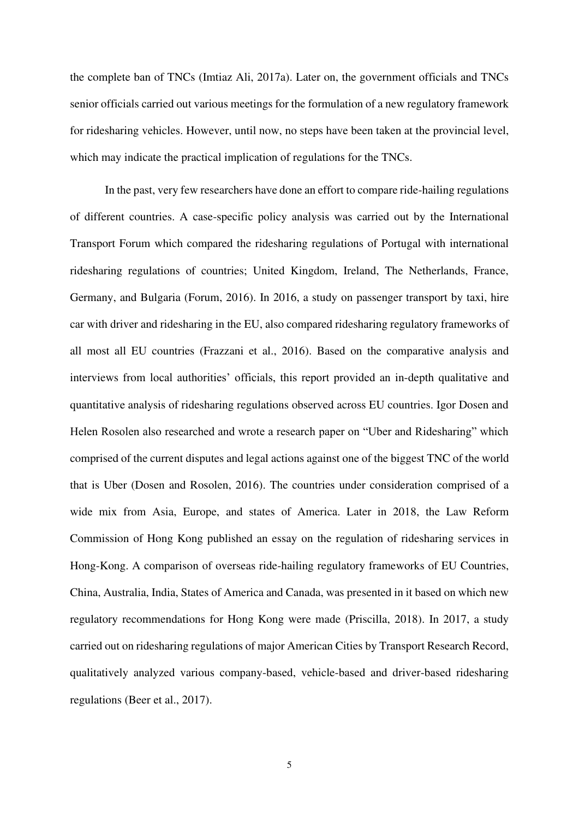the complete ban of TNCs (Imtiaz Ali, 2017a). Later on, the government officials and TNCs senior officials carried out various meetings for the formulation of a new regulatory framework for ridesharing vehicles. However, until now, no steps have been taken at the provincial level, which may indicate the practical implication of regulations for the TNCs.

In the past, very few researchers have done an effort to compare ride-hailing regulations of different countries. A case-specific policy analysis was carried out by the International Transport Forum which compared the ridesharing regulations of Portugal with international ridesharing regulations of countries; United Kingdom, Ireland, The Netherlands, France, Germany, and Bulgaria (Forum, 2016). In 2016, a study on passenger transport by taxi, hire car with driver and ridesharing in the EU, also compared ridesharing regulatory frameworks of all most all EU countries (Frazzani et al., 2016). Based on the comparative analysis and interviews from local authorities' officials, this report provided an in-depth qualitative and quantitative analysis of ridesharing regulations observed across EU countries. Igor Dosen and Helen Rosolen also researched and wrote a research paper on "Uber and Ridesharing" which comprised of the current disputes and legal actions against one of the biggest TNC of the world that is Uber (Dosen and Rosolen, 2016). The countries under consideration comprised of a wide mix from Asia, Europe, and states of America. Later in 2018, the Law Reform Commission of Hong Kong published an essay on the regulation of ridesharing services in Hong-Kong. A comparison of overseas ride-hailing regulatory frameworks of EU Countries, China, Australia, India, States of America and Canada, was presented in it based on which new regulatory recommendations for Hong Kong were made (Priscilla, 2018). In 2017, a study carried out on ridesharing regulations of major American Cities by Transport Research Record, qualitatively analyzed various company-based, vehicle-based and driver-based ridesharing regulations (Beer et al., 2017).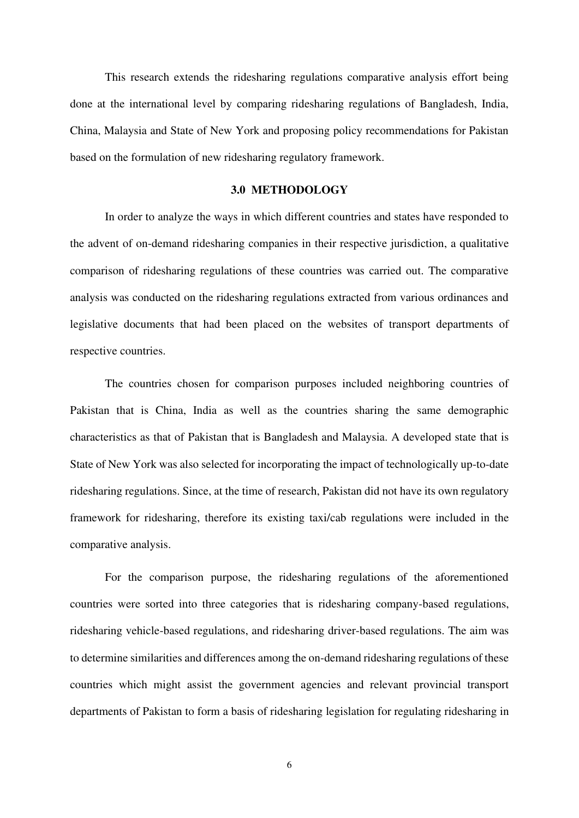This research extends the ridesharing regulations comparative analysis effort being done at the international level by comparing ridesharing regulations of Bangladesh, India, China, Malaysia and State of New York and proposing policy recommendations for Pakistan based on the formulation of new ridesharing regulatory framework.

# **3.0 METHODOLOGY**

In order to analyze the ways in which different countries and states have responded to the advent of on-demand ridesharing companies in their respective jurisdiction, a qualitative comparison of ridesharing regulations of these countries was carried out. The comparative analysis was conducted on the ridesharing regulations extracted from various ordinances and legislative documents that had been placed on the websites of transport departments of respective countries.

The countries chosen for comparison purposes included neighboring countries of Pakistan that is China, India as well as the countries sharing the same demographic characteristics as that of Pakistan that is Bangladesh and Malaysia. A developed state that is State of New York was also selected for incorporating the impact of technologically up-to-date ridesharing regulations. Since, at the time of research, Pakistan did not have its own regulatory framework for ridesharing, therefore its existing taxi/cab regulations were included in the comparative analysis.

For the comparison purpose, the ridesharing regulations of the aforementioned countries were sorted into three categories that is ridesharing company-based regulations, ridesharing vehicle-based regulations, and ridesharing driver-based regulations. The aim was to determine similarities and differences among the on-demand ridesharing regulations of these countries which might assist the government agencies and relevant provincial transport departments of Pakistan to form a basis of ridesharing legislation for regulating ridesharing in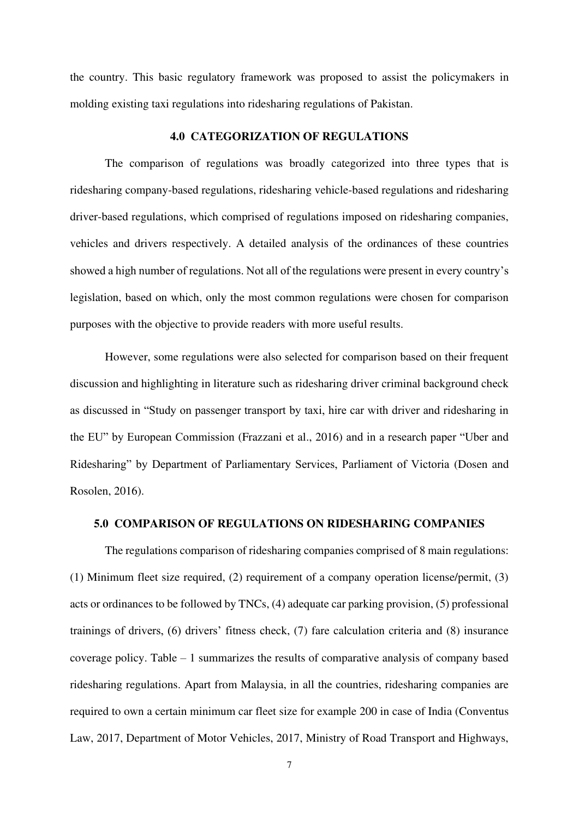the country. This basic regulatory framework was proposed to assist the policymakers in molding existing taxi regulations into ridesharing regulations of Pakistan.

# **4.0 CATEGORIZATION OF REGULATIONS**

The comparison of regulations was broadly categorized into three types that is ridesharing company-based regulations, ridesharing vehicle-based regulations and ridesharing driver-based regulations, which comprised of regulations imposed on ridesharing companies, vehicles and drivers respectively. A detailed analysis of the ordinances of these countries showed a high number of regulations. Not all of the regulations were present in every country's legislation, based on which, only the most common regulations were chosen for comparison purposes with the objective to provide readers with more useful results.

However, some regulations were also selected for comparison based on their frequent discussion and highlighting in literature such as ridesharing driver criminal background check as discussed in "Study on passenger transport by taxi, hire car with driver and ridesharing in the EU" by European Commission (Frazzani et al., 2016) and in a research paper "Uber and Ridesharing" by Department of Parliamentary Services, Parliament of Victoria (Dosen and Rosolen, 2016).

#### **5.0 COMPARISON OF REGULATIONS ON RIDESHARING COMPANIES**

The regulations comparison of ridesharing companies comprised of 8 main regulations: (1) Minimum fleet size required, (2) requirement of a company operation license/permit, (3) acts or ordinances to be followed by TNCs, (4) adequate car parking provision, (5) professional trainings of drivers, (6) drivers' fitness check, (7) fare calculation criteria and (8) insurance coverage policy. Table – 1 summarizes the results of comparative analysis of company based ridesharing regulations. Apart from Malaysia, in all the countries, ridesharing companies are required to own a certain minimum car fleet size for example 200 in case of India (Conventus Law, 2017, Department of Motor Vehicles, 2017, Ministry of Road Transport and Highways,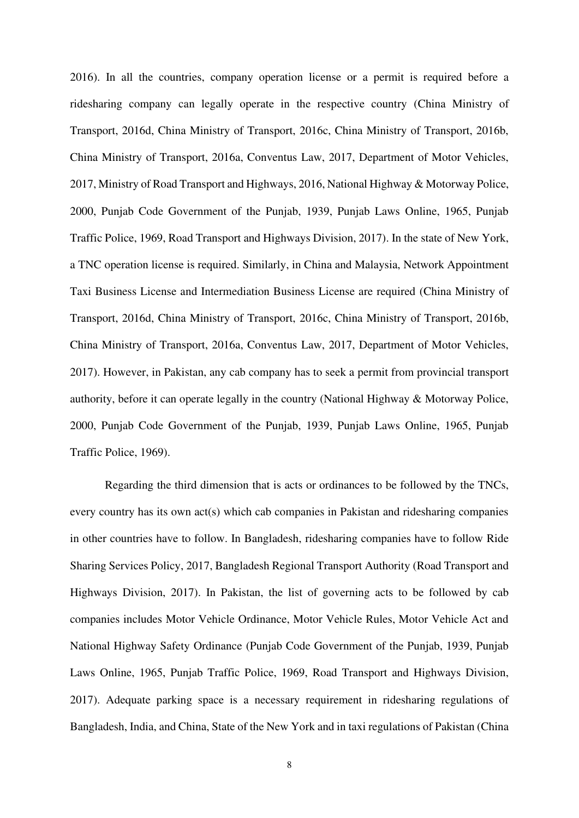2016). In all the countries, company operation license or a permit is required before a ridesharing company can legally operate in the respective country (China Ministry of Transport, 2016d, China Ministry of Transport, 2016c, China Ministry of Transport, 2016b, China Ministry of Transport, 2016a, Conventus Law, 2017, Department of Motor Vehicles, 2017, Ministry of Road Transport and Highways, 2016, National Highway & Motorway Police, 2000, Punjab Code Government of the Punjab, 1939, Punjab Laws Online, 1965, Punjab Traffic Police, 1969, Road Transport and Highways Division, 2017). In the state of New York, a TNC operation license is required. Similarly, in China and Malaysia, Network Appointment Taxi Business License and Intermediation Business License are required (China Ministry of Transport, 2016d, China Ministry of Transport, 2016c, China Ministry of Transport, 2016b, China Ministry of Transport, 2016a, Conventus Law, 2017, Department of Motor Vehicles, 2017). However, in Pakistan, any cab company has to seek a permit from provincial transport authority, before it can operate legally in the country (National Highway & Motorway Police, 2000, Punjab Code Government of the Punjab, 1939, Punjab Laws Online, 1965, Punjab Traffic Police, 1969).

Regarding the third dimension that is acts or ordinances to be followed by the TNCs, every country has its own act(s) which cab companies in Pakistan and ridesharing companies in other countries have to follow. In Bangladesh, ridesharing companies have to follow Ride Sharing Services Policy, 2017, Bangladesh Regional Transport Authority (Road Transport and Highways Division, 2017). In Pakistan, the list of governing acts to be followed by cab companies includes Motor Vehicle Ordinance, Motor Vehicle Rules, Motor Vehicle Act and National Highway Safety Ordinance (Punjab Code Government of the Punjab, 1939, Punjab Laws Online, 1965, Punjab Traffic Police, 1969, Road Transport and Highways Division, 2017). Adequate parking space is a necessary requirement in ridesharing regulations of Bangladesh, India, and China, State of the New York and in taxi regulations of Pakistan (China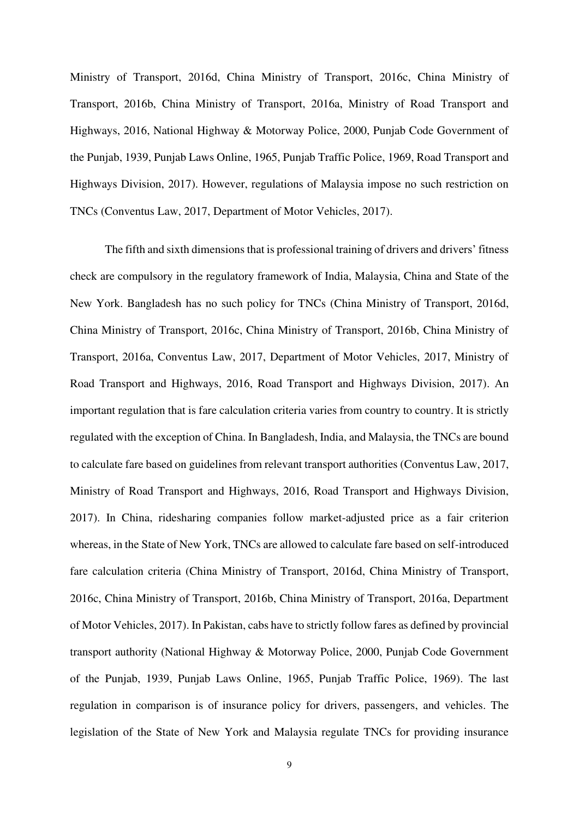Ministry of Transport, 2016d, China Ministry of Transport, 2016c, China Ministry of Transport, 2016b, China Ministry of Transport, 2016a, Ministry of Road Transport and Highways, 2016, National Highway & Motorway Police, 2000, Punjab Code Government of the Punjab, 1939, Punjab Laws Online, 1965, Punjab Traffic Police, 1969, Road Transport and Highways Division, 2017). However, regulations of Malaysia impose no such restriction on TNCs (Conventus Law, 2017, Department of Motor Vehicles, 2017).

The fifth and sixth dimensions that is professional training of drivers and drivers' fitness check are compulsory in the regulatory framework of India, Malaysia, China and State of the New York. Bangladesh has no such policy for TNCs (China Ministry of Transport, 2016d, China Ministry of Transport, 2016c, China Ministry of Transport, 2016b, China Ministry of Transport, 2016a, Conventus Law, 2017, Department of Motor Vehicles, 2017, Ministry of Road Transport and Highways, 2016, Road Transport and Highways Division, 2017). An important regulation that is fare calculation criteria varies from country to country. It is strictly regulated with the exception of China. In Bangladesh, India, and Malaysia, the TNCs are bound to calculate fare based on guidelines from relevant transport authorities (Conventus Law, 2017, Ministry of Road Transport and Highways, 2016, Road Transport and Highways Division, 2017). In China, ridesharing companies follow market-adjusted price as a fair criterion whereas, in the State of New York, TNCs are allowed to calculate fare based on self-introduced fare calculation criteria (China Ministry of Transport, 2016d, China Ministry of Transport, 2016c, China Ministry of Transport, 2016b, China Ministry of Transport, 2016a, Department of Motor Vehicles, 2017). In Pakistan, cabs have to strictly follow fares as defined by provincial transport authority (National Highway & Motorway Police, 2000, Punjab Code Government of the Punjab, 1939, Punjab Laws Online, 1965, Punjab Traffic Police, 1969). The last regulation in comparison is of insurance policy for drivers, passengers, and vehicles. The legislation of the State of New York and Malaysia regulate TNCs for providing insurance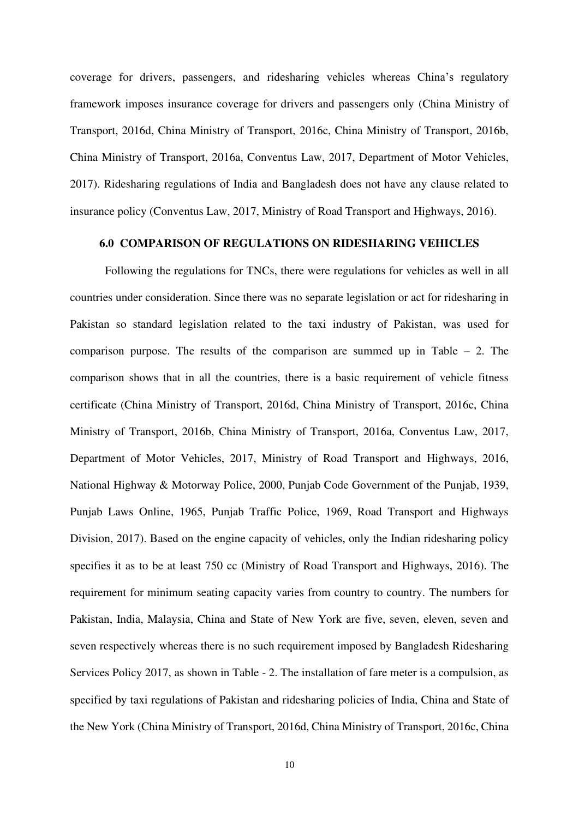coverage for drivers, passengers, and ridesharing vehicles whereas China's regulatory framework imposes insurance coverage for drivers and passengers only (China Ministry of Transport, 2016d, China Ministry of Transport, 2016c, China Ministry of Transport, 2016b, China Ministry of Transport, 2016a, Conventus Law, 2017, Department of Motor Vehicles, 2017). Ridesharing regulations of India and Bangladesh does not have any clause related to insurance policy (Conventus Law, 2017, Ministry of Road Transport and Highways, 2016).

# **6.0 COMPARISON OF REGULATIONS ON RIDESHARING VEHICLES**

Following the regulations for TNCs, there were regulations for vehicles as well in all countries under consideration. Since there was no separate legislation or act for ridesharing in Pakistan so standard legislation related to the taxi industry of Pakistan, was used for comparison purpose. The results of the comparison are summed up in Table  $-2$ . The comparison shows that in all the countries, there is a basic requirement of vehicle fitness certificate (China Ministry of Transport, 2016d, China Ministry of Transport, 2016c, China Ministry of Transport, 2016b, China Ministry of Transport, 2016a, Conventus Law, 2017, Department of Motor Vehicles, 2017, Ministry of Road Transport and Highways, 2016, National Highway & Motorway Police, 2000, Punjab Code Government of the Punjab, 1939, Punjab Laws Online, 1965, Punjab Traffic Police, 1969, Road Transport and Highways Division, 2017). Based on the engine capacity of vehicles, only the Indian ridesharing policy specifies it as to be at least 750 cc (Ministry of Road Transport and Highways, 2016). The requirement for minimum seating capacity varies from country to country. The numbers for Pakistan, India, Malaysia, China and State of New York are five, seven, eleven, seven and seven respectively whereas there is no such requirement imposed by Bangladesh Ridesharing Services Policy 2017, as shown in Table - 2. The installation of fare meter is a compulsion, as specified by taxi regulations of Pakistan and ridesharing policies of India, China and State of the New York (China Ministry of Transport, 2016d, China Ministry of Transport, 2016c, China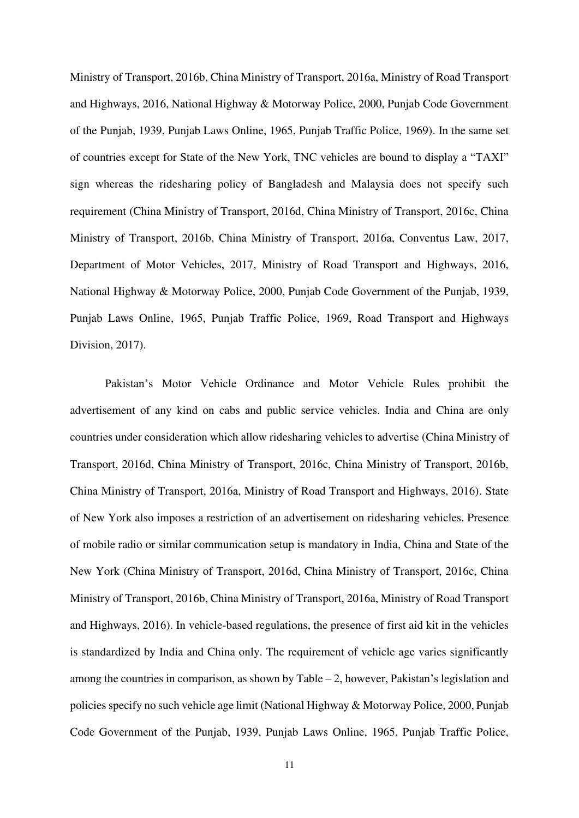Ministry of Transport, 2016b, China Ministry of Transport, 2016a, Ministry of Road Transport and Highways, 2016, National Highway & Motorway Police, 2000, Punjab Code Government of the Punjab, 1939, Punjab Laws Online, 1965, Punjab Traffic Police, 1969). In the same set of countries except for State of the New York, TNC vehicles are bound to display a "TAXI" sign whereas the ridesharing policy of Bangladesh and Malaysia does not specify such requirement (China Ministry of Transport, 2016d, China Ministry of Transport, 2016c, China Ministry of Transport, 2016b, China Ministry of Transport, 2016a, Conventus Law, 2017, Department of Motor Vehicles, 2017, Ministry of Road Transport and Highways, 2016, National Highway & Motorway Police, 2000, Punjab Code Government of the Punjab, 1939, Punjab Laws Online, 1965, Punjab Traffic Police, 1969, Road Transport and Highways Division, 2017).

Pakistan's Motor Vehicle Ordinance and Motor Vehicle Rules prohibit the advertisement of any kind on cabs and public service vehicles. India and China are only countries under consideration which allow ridesharing vehicles to advertise (China Ministry of Transport, 2016d, China Ministry of Transport, 2016c, China Ministry of Transport, 2016b, China Ministry of Transport, 2016a, Ministry of Road Transport and Highways, 2016). State of New York also imposes a restriction of an advertisement on ridesharing vehicles. Presence of mobile radio or similar communication setup is mandatory in India, China and State of the New York (China Ministry of Transport, 2016d, China Ministry of Transport, 2016c, China Ministry of Transport, 2016b, China Ministry of Transport, 2016a, Ministry of Road Transport and Highways, 2016). In vehicle-based regulations, the presence of first aid kit in the vehicles is standardized by India and China only. The requirement of vehicle age varies significantly among the countries in comparison, as shown by Table – 2, however, Pakistan's legislation and policies specify no such vehicle age limit (National Highway & Motorway Police, 2000, Punjab Code Government of the Punjab, 1939, Punjab Laws Online, 1965, Punjab Traffic Police,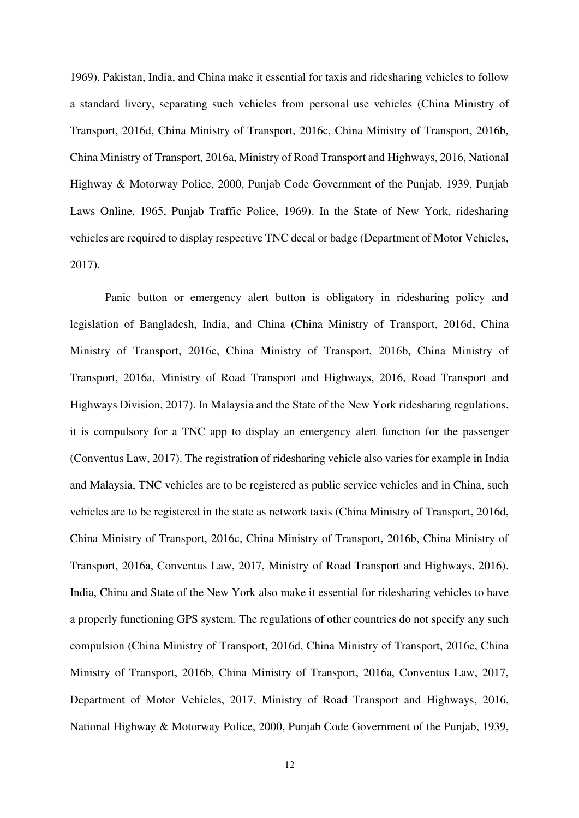1969). Pakistan, India, and China make it essential for taxis and ridesharing vehicles to follow a standard livery, separating such vehicles from personal use vehicles (China Ministry of Transport, 2016d, China Ministry of Transport, 2016c, China Ministry of Transport, 2016b, China Ministry of Transport, 2016a, Ministry of Road Transport and Highways, 2016, National Highway & Motorway Police, 2000, Punjab Code Government of the Punjab, 1939, Punjab Laws Online, 1965, Punjab Traffic Police, 1969). In the State of New York, ridesharing vehicles are required to display respective TNC decal or badge (Department of Motor Vehicles, 2017).

Panic button or emergency alert button is obligatory in ridesharing policy and legislation of Bangladesh, India, and China (China Ministry of Transport, 2016d, China Ministry of Transport, 2016c, China Ministry of Transport, 2016b, China Ministry of Transport, 2016a, Ministry of Road Transport and Highways, 2016, Road Transport and Highways Division, 2017). In Malaysia and the State of the New York ridesharing regulations, it is compulsory for a TNC app to display an emergency alert function for the passenger (Conventus Law, 2017). The registration of ridesharing vehicle also varies for example in India and Malaysia, TNC vehicles are to be registered as public service vehicles and in China, such vehicles are to be registered in the state as network taxis (China Ministry of Transport, 2016d, China Ministry of Transport, 2016c, China Ministry of Transport, 2016b, China Ministry of Transport, 2016a, Conventus Law, 2017, Ministry of Road Transport and Highways, 2016). India, China and State of the New York also make it essential for ridesharing vehicles to have a properly functioning GPS system. The regulations of other countries do not specify any such compulsion (China Ministry of Transport, 2016d, China Ministry of Transport, 2016c, China Ministry of Transport, 2016b, China Ministry of Transport, 2016a, Conventus Law, 2017, Department of Motor Vehicles, 2017, Ministry of Road Transport and Highways, 2016, National Highway & Motorway Police, 2000, Punjab Code Government of the Punjab, 1939,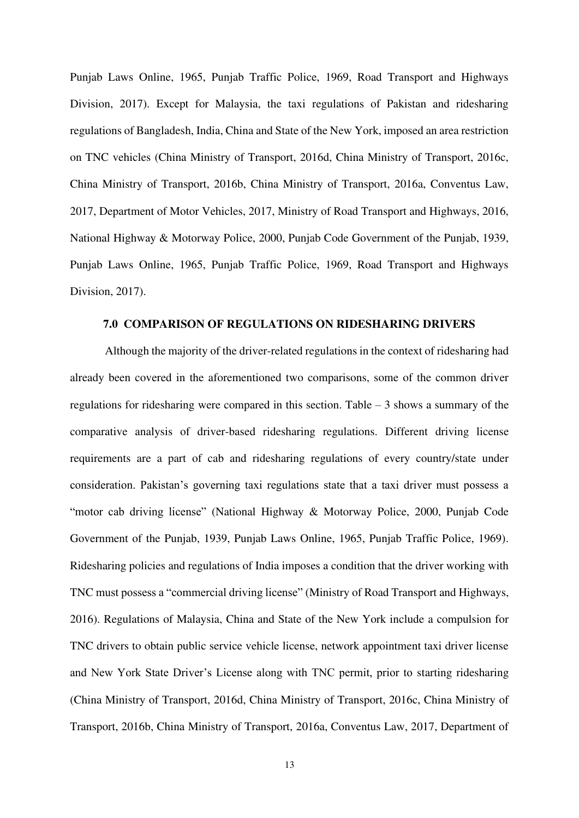Punjab Laws Online, 1965, Punjab Traffic Police, 1969, Road Transport and Highways Division, 2017). Except for Malaysia, the taxi regulations of Pakistan and ridesharing regulations of Bangladesh, India, China and State of the New York, imposed an area restriction on TNC vehicles (China Ministry of Transport, 2016d, China Ministry of Transport, 2016c, China Ministry of Transport, 2016b, China Ministry of Transport, 2016a, Conventus Law, 2017, Department of Motor Vehicles, 2017, Ministry of Road Transport and Highways, 2016, National Highway & Motorway Police, 2000, Punjab Code Government of the Punjab, 1939, Punjab Laws Online, 1965, Punjab Traffic Police, 1969, Road Transport and Highways Division, 2017).

# **7.0 COMPARISON OF REGULATIONS ON RIDESHARING DRIVERS**

Although the majority of the driver-related regulations in the context of ridesharing had already been covered in the aforementioned two comparisons, some of the common driver regulations for ridesharing were compared in this section. Table – 3 shows a summary of the comparative analysis of driver-based ridesharing regulations. Different driving license requirements are a part of cab and ridesharing regulations of every country/state under consideration. Pakistan's governing taxi regulations state that a taxi driver must possess a "motor cab driving license" (National Highway & Motorway Police, 2000, Punjab Code Government of the Punjab, 1939, Punjab Laws Online, 1965, Punjab Traffic Police, 1969). Ridesharing policies and regulations of India imposes a condition that the driver working with TNC must possess a "commercial driving license" (Ministry of Road Transport and Highways, 2016). Regulations of Malaysia, China and State of the New York include a compulsion for TNC drivers to obtain public service vehicle license, network appointment taxi driver license and New York State Driver's License along with TNC permit, prior to starting ridesharing (China Ministry of Transport, 2016d, China Ministry of Transport, 2016c, China Ministry of Transport, 2016b, China Ministry of Transport, 2016a, Conventus Law, 2017, Department of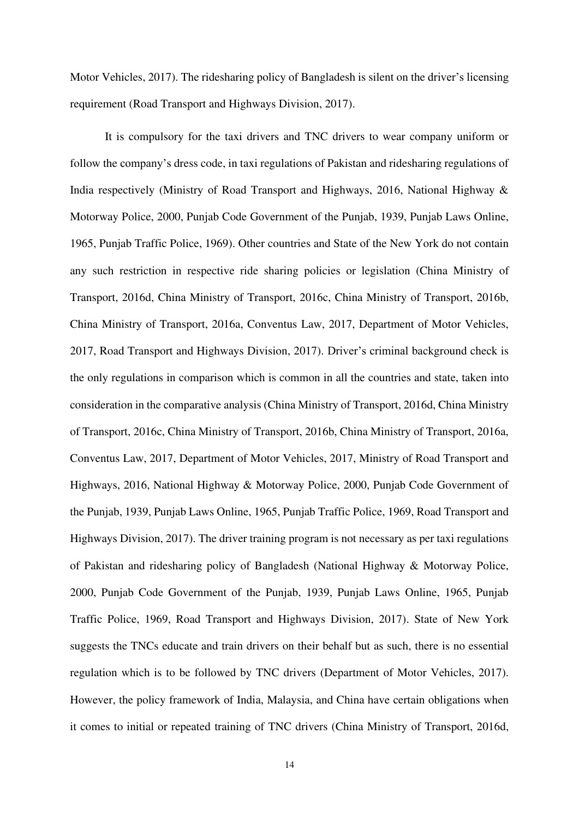Motor Vehicles, 2017). The ridesharing policy of Bangladesh is silent on the driver's licensing requirement (Road Transport and Highways Division, 2017).

It is compulsory for the taxi drivers and TNC drivers to wear company uniform or follow the company's dress code, in taxi regulations of Pakistan and ridesharing regulations of India respectively (Ministry of Road Transport and Highways, 2016, National Highway & Motorway Police, 2000, Punjab Code Government of the Punjab, 1939, Punjab Laws Online, 1965, Punjab Traffic Police, 1969). Other countries and State of the New York do not contain any such restriction in respective ride sharing policies or legislation (China Ministry of Transport, 2016d, China Ministry of Transport, 2016c, China Ministry of Transport, 2016b, China Ministry of Transport, 2016a, Conventus Law, 2017, Department of Motor Vehicles, 2017, Road Transport and Highways Division, 2017). Driver's criminal background check is the only regulations in comparison which is common in all the countries and state, taken into consideration in the comparative analysis (China Ministry of Transport, 2016d, China Ministry of Transport, 2016c, China Ministry of Transport, 2016b, China Ministry of Transport, 2016a, Conventus Law, 2017, Department of Motor Vehicles, 2017, Ministry of Road Transport and Highways, 2016, National Highway & Motorway Police, 2000, Punjab Code Government of the Punjab, 1939, Punjab Laws Online, 1965, Punjab Traffic Police, 1969, Road Transport and Highways Division, 2017). The driver training program is not necessary as per taxi regulations of Pakistan and ridesharing policy of Bangladesh (National Highway & Motorway Police, 2000, Punjab Code Government of the Punjab, 1939, Punjab Laws Online, 1965, Punjab Traffic Police, 1969, Road Transport and Highways Division, 2017). State of New York suggests the TNCs educate and train drivers on their behalf but as such, there is no essential regulation which is to be followed by TNC drivers (Department of Motor Vehicles, 2017). However, the policy framework of India, Malaysia, and China have certain obligations when it comes to initial or repeated training of TNC drivers (China Ministry of Transport, 2016d,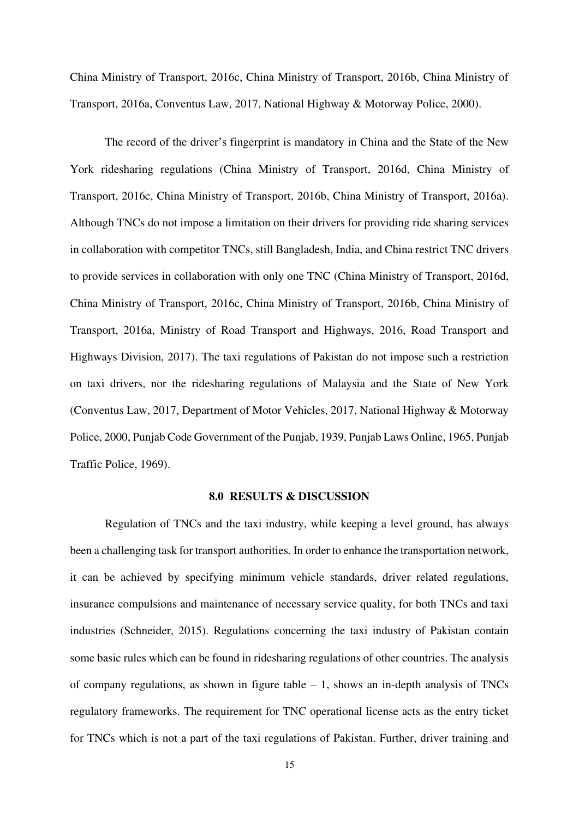China Ministry of Transport, 2016c, China Ministry of Transport, 2016b, China Ministry of Transport, 2016a, Conventus Law, 2017, National Highway & Motorway Police, 2000).

The record of the driver's fingerprint is mandatory in China and the State of the New York ridesharing regulations (China Ministry of Transport, 2016d, China Ministry of Transport, 2016c, China Ministry of Transport, 2016b, China Ministry of Transport, 2016a). Although TNCs do not impose a limitation on their drivers for providing ride sharing services in collaboration with competitor TNCs, still Bangladesh, India, and China restrict TNC drivers to provide services in collaboration with only one TNC (China Ministry of Transport, 2016d, China Ministry of Transport, 2016c, China Ministry of Transport, 2016b, China Ministry of Transport, 2016a, Ministry of Road Transport and Highways, 2016, Road Transport and Highways Division, 2017). The taxi regulations of Pakistan do not impose such a restriction on taxi drivers, nor the ridesharing regulations of Malaysia and the State of New York (Conventus Law, 2017, Department of Motor Vehicles, 2017, National Highway & Motorway Police, 2000, Punjab Code Government of the Punjab, 1939, Punjab Laws Online, 1965, Punjab Traffic Police, 1969).

#### **8.0 RESULTS & DISCUSSION**

Regulation of TNCs and the taxi industry, while keeping a level ground, has always been a challenging task for transport authorities. In order to enhance the transportation network, it can be achieved by specifying minimum vehicle standards, driver related regulations, insurance compulsions and maintenance of necessary service quality, for both TNCs and taxi industries (Schneider, 2015). Regulations concerning the taxi industry of Pakistan contain some basic rules which can be found in ridesharing regulations of other countries. The analysis of company regulations, as shown in figure table  $-1$ , shows an in-depth analysis of TNCs regulatory frameworks. The requirement for TNC operational license acts as the entry ticket for TNCs which is not a part of the taxi regulations of Pakistan. Further, driver training and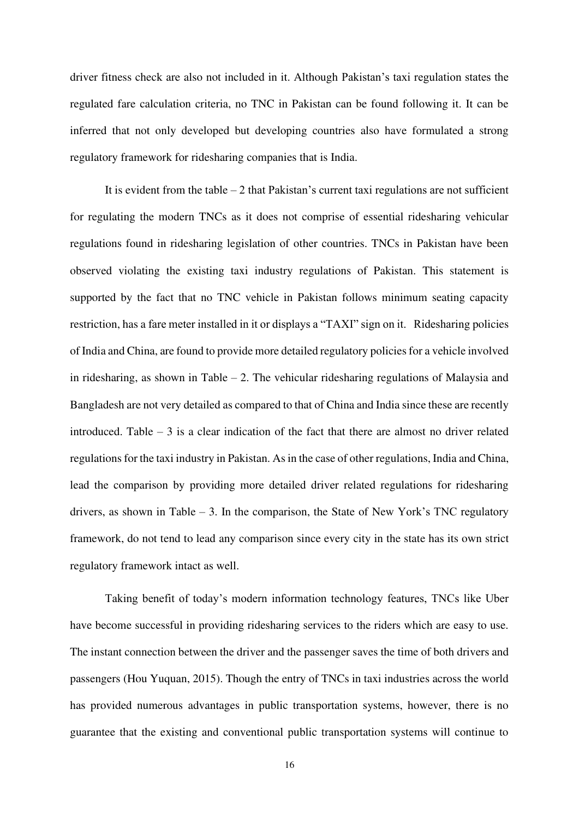driver fitness check are also not included in it. Although Pakistan's taxi regulation states the regulated fare calculation criteria, no TNC in Pakistan can be found following it. It can be inferred that not only developed but developing countries also have formulated a strong regulatory framework for ridesharing companies that is India.

It is evident from the table  $-2$  that Pakistan's current taxi regulations are not sufficient for regulating the modern TNCs as it does not comprise of essential ridesharing vehicular regulations found in ridesharing legislation of other countries. TNCs in Pakistan have been observed violating the existing taxi industry regulations of Pakistan. This statement is supported by the fact that no TNC vehicle in Pakistan follows minimum seating capacity restriction, has a fare meter installed in it or displays a "TAXI" sign on it. Ridesharing policies of India and China, are found to provide more detailed regulatory policies for a vehicle involved in ridesharing, as shown in Table  $-2$ . The vehicular ridesharing regulations of Malaysia and Bangladesh are not very detailed as compared to that of China and India since these are recently introduced. Table  $-3$  is a clear indication of the fact that there are almost no driver related regulations for the taxi industry in Pakistan. As in the case of other regulations, India and China, lead the comparison by providing more detailed driver related regulations for ridesharing drivers, as shown in Table  $-3$ . In the comparison, the State of New York's TNC regulatory framework, do not tend to lead any comparison since every city in the state has its own strict regulatory framework intact as well.

Taking benefit of today's modern information technology features, TNCs like Uber have become successful in providing ridesharing services to the riders which are easy to use. The instant connection between the driver and the passenger saves the time of both drivers and passengers (Hou Yuquan, 2015). Though the entry of TNCs in taxi industries across the world has provided numerous advantages in public transportation systems, however, there is no guarantee that the existing and conventional public transportation systems will continue to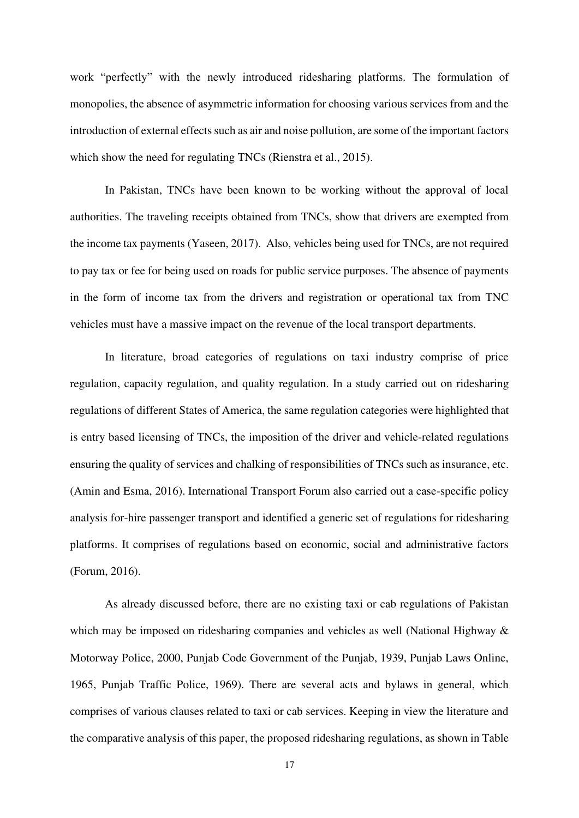work "perfectly" with the newly introduced ridesharing platforms. The formulation of monopolies, the absence of asymmetric information for choosing various services from and the introduction of external effects such as air and noise pollution, are some of the important factors which show the need for regulating TNCs (Rienstra et al., 2015).

In Pakistan, TNCs have been known to be working without the approval of local authorities. The traveling receipts obtained from TNCs, show that drivers are exempted from the income tax payments (Yaseen, 2017). Also, vehicles being used for TNCs, are not required to pay tax or fee for being used on roads for public service purposes. The absence of payments in the form of income tax from the drivers and registration or operational tax from TNC vehicles must have a massive impact on the revenue of the local transport departments.

In literature, broad categories of regulations on taxi industry comprise of price regulation, capacity regulation, and quality regulation. In a study carried out on ridesharing regulations of different States of America, the same regulation categories were highlighted that is entry based licensing of TNCs, the imposition of the driver and vehicle-related regulations ensuring the quality of services and chalking of responsibilities of TNCs such as insurance, etc. (Amin and Esma, 2016). International Transport Forum also carried out a case-specific policy analysis for-hire passenger transport and identified a generic set of regulations for ridesharing platforms. It comprises of regulations based on economic, social and administrative factors (Forum, 2016).

As already discussed before, there are no existing taxi or cab regulations of Pakistan which may be imposed on ridesharing companies and vehicles as well (National Highway  $\&$ Motorway Police, 2000, Punjab Code Government of the Punjab, 1939, Punjab Laws Online, 1965, Punjab Traffic Police, 1969). There are several acts and bylaws in general, which comprises of various clauses related to taxi or cab services. Keeping in view the literature and the comparative analysis of this paper, the proposed ridesharing regulations, as shown in Table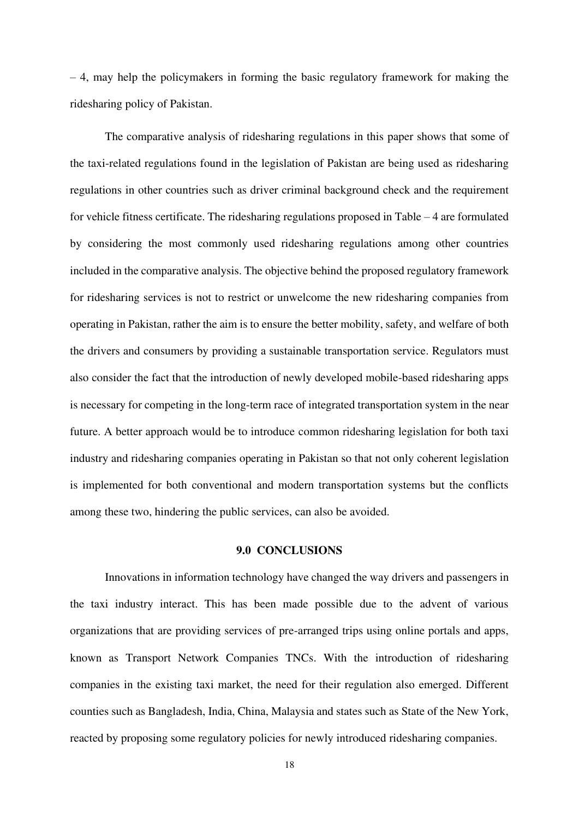– 4, may help the policymakers in forming the basic regulatory framework for making the ridesharing policy of Pakistan.

The comparative analysis of ridesharing regulations in this paper shows that some of the taxi-related regulations found in the legislation of Pakistan are being used as ridesharing regulations in other countries such as driver criminal background check and the requirement for vehicle fitness certificate. The ridesharing regulations proposed in Table – 4 are formulated by considering the most commonly used ridesharing regulations among other countries included in the comparative analysis. The objective behind the proposed regulatory framework for ridesharing services is not to restrict or unwelcome the new ridesharing companies from operating in Pakistan, rather the aim is to ensure the better mobility, safety, and welfare of both the drivers and consumers by providing a sustainable transportation service. Regulators must also consider the fact that the introduction of newly developed mobile-based ridesharing apps is necessary for competing in the long-term race of integrated transportation system in the near future. A better approach would be to introduce common ridesharing legislation for both taxi industry and ridesharing companies operating in Pakistan so that not only coherent legislation is implemented for both conventional and modern transportation systems but the conflicts among these two, hindering the public services, can also be avoided.

# **9.0 CONCLUSIONS**

Innovations in information technology have changed the way drivers and passengers in the taxi industry interact. This has been made possible due to the advent of various organizations that are providing services of pre-arranged trips using online portals and apps, known as Transport Network Companies TNCs. With the introduction of ridesharing companies in the existing taxi market, the need for their regulation also emerged. Different counties such as Bangladesh, India, China, Malaysia and states such as State of the New York, reacted by proposing some regulatory policies for newly introduced ridesharing companies.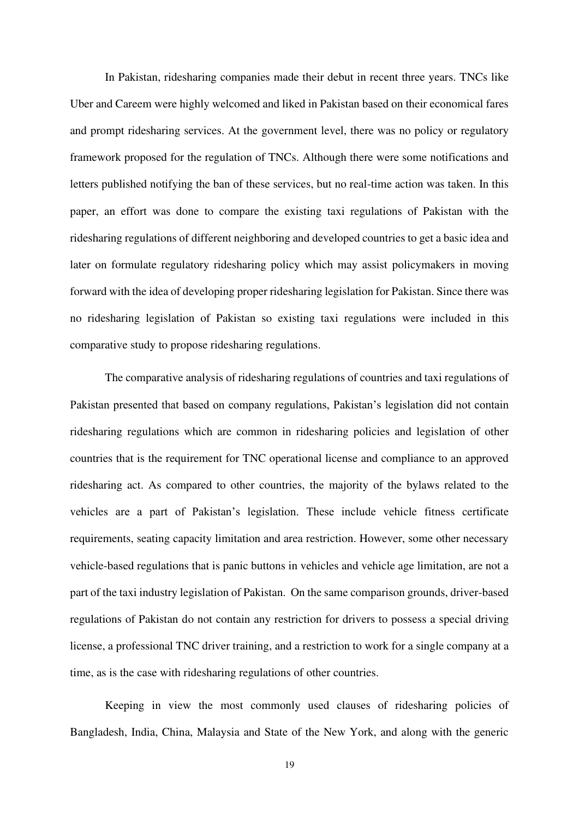In Pakistan, ridesharing companies made their debut in recent three years. TNCs like Uber and Careem were highly welcomed and liked in Pakistan based on their economical fares and prompt ridesharing services. At the government level, there was no policy or regulatory framework proposed for the regulation of TNCs. Although there were some notifications and letters published notifying the ban of these services, but no real-time action was taken. In this paper, an effort was done to compare the existing taxi regulations of Pakistan with the ridesharing regulations of different neighboring and developed countries to get a basic idea and later on formulate regulatory ridesharing policy which may assist policymakers in moving forward with the idea of developing proper ridesharing legislation for Pakistan. Since there was no ridesharing legislation of Pakistan so existing taxi regulations were included in this comparative study to propose ridesharing regulations.

The comparative analysis of ridesharing regulations of countries and taxi regulations of Pakistan presented that based on company regulations, Pakistan's legislation did not contain ridesharing regulations which are common in ridesharing policies and legislation of other countries that is the requirement for TNC operational license and compliance to an approved ridesharing act. As compared to other countries, the majority of the bylaws related to the vehicles are a part of Pakistan's legislation. These include vehicle fitness certificate requirements, seating capacity limitation and area restriction. However, some other necessary vehicle-based regulations that is panic buttons in vehicles and vehicle age limitation, are not a part of the taxi industry legislation of Pakistan. On the same comparison grounds, driver-based regulations of Pakistan do not contain any restriction for drivers to possess a special driving license, a professional TNC driver training, and a restriction to work for a single company at a time, as is the case with ridesharing regulations of other countries.

Keeping in view the most commonly used clauses of ridesharing policies of Bangladesh, India, China, Malaysia and State of the New York, and along with the generic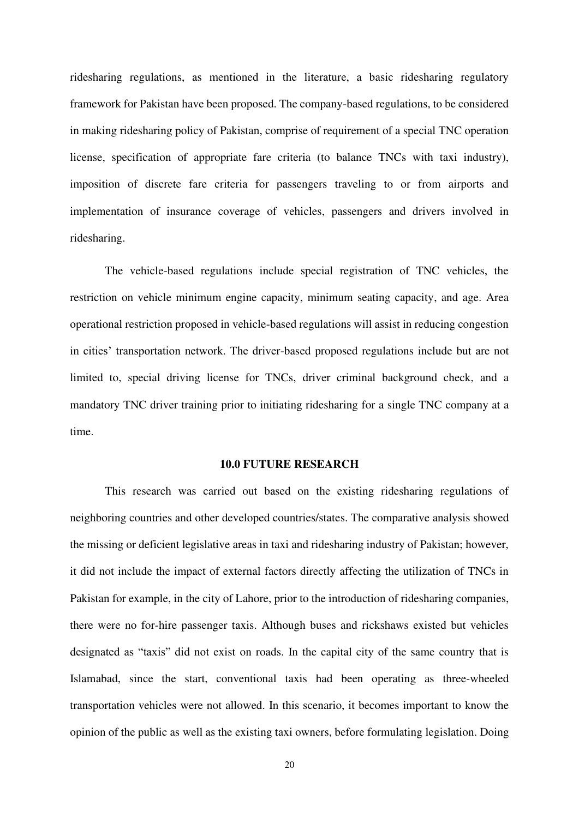ridesharing regulations, as mentioned in the literature, a basic ridesharing regulatory framework for Pakistan have been proposed. The company-based regulations, to be considered in making ridesharing policy of Pakistan, comprise of requirement of a special TNC operation license, specification of appropriate fare criteria (to balance TNCs with taxi industry), imposition of discrete fare criteria for passengers traveling to or from airports and implementation of insurance coverage of vehicles, passengers and drivers involved in ridesharing.

The vehicle-based regulations include special registration of TNC vehicles, the restriction on vehicle minimum engine capacity, minimum seating capacity, and age. Area operational restriction proposed in vehicle-based regulations will assist in reducing congestion in cities' transportation network. The driver-based proposed regulations include but are not limited to, special driving license for TNCs, driver criminal background check, and a mandatory TNC driver training prior to initiating ridesharing for a single TNC company at a time.

#### **10.0 FUTURE RESEARCH**

This research was carried out based on the existing ridesharing regulations of neighboring countries and other developed countries/states. The comparative analysis showed the missing or deficient legislative areas in taxi and ridesharing industry of Pakistan; however, it did not include the impact of external factors directly affecting the utilization of TNCs in Pakistan for example, in the city of Lahore, prior to the introduction of ridesharing companies, there were no for-hire passenger taxis. Although buses and rickshaws existed but vehicles designated as "taxis" did not exist on roads. In the capital city of the same country that is Islamabad, since the start, conventional taxis had been operating as three-wheeled transportation vehicles were not allowed. In this scenario, it becomes important to know the opinion of the public as well as the existing taxi owners, before formulating legislation. Doing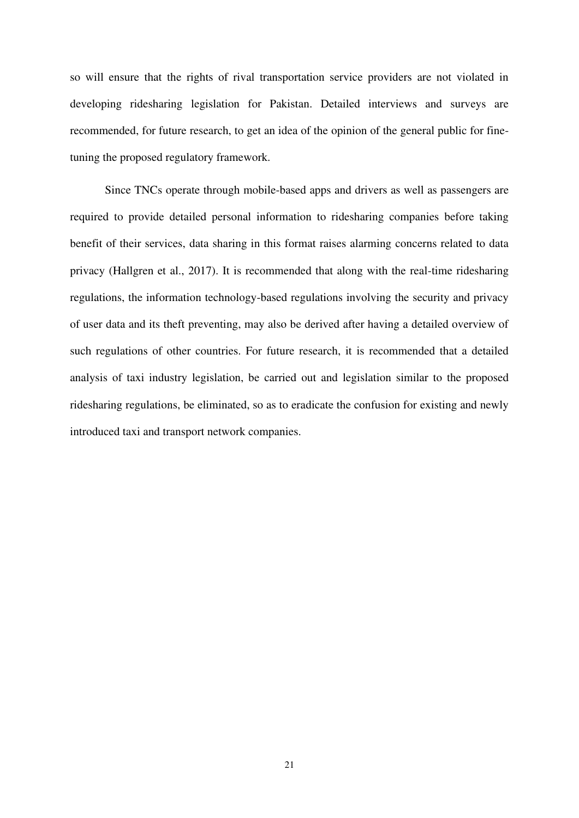so will ensure that the rights of rival transportation service providers are not violated in developing ridesharing legislation for Pakistan. Detailed interviews and surveys are recommended, for future research, to get an idea of the opinion of the general public for finetuning the proposed regulatory framework.

Since TNCs operate through mobile-based apps and drivers as well as passengers are required to provide detailed personal information to ridesharing companies before taking benefit of their services, data sharing in this format raises alarming concerns related to data privacy (Hallgren et al., 2017). It is recommended that along with the real-time ridesharing regulations, the information technology-based regulations involving the security and privacy of user data and its theft preventing, may also be derived after having a detailed overview of such regulations of other countries. For future research, it is recommended that a detailed analysis of taxi industry legislation, be carried out and legislation similar to the proposed ridesharing regulations, be eliminated, so as to eradicate the confusion for existing and newly introduced taxi and transport network companies.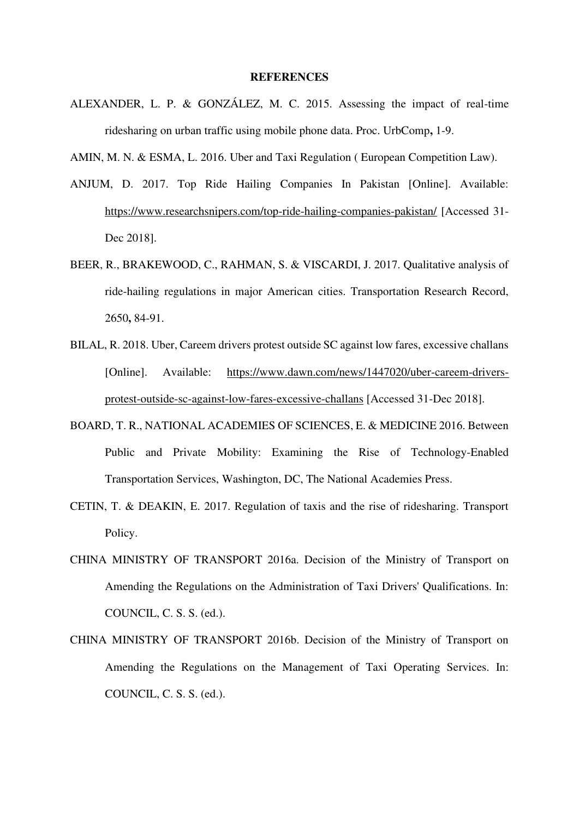#### **REFERENCES**

ALEXANDER, L. P. & GONZÁLEZ, M. C. 2015. Assessing the impact of real-time ridesharing on urban traffic using mobile phone data. Proc. UrbComp**,** 1-9.

AMIN, M. N. & ESMA, L. 2016. Uber and Taxi Regulation ( European Competition Law).

- ANJUM, D. 2017. Top Ride Hailing Companies In Pakistan [Online]. Available: <https://www.researchsnipers.com/top-ride-hailing-companies-pakistan/>[Accessed 31- Dec 2018].
- BEER, R., BRAKEWOOD, C., RAHMAN, S. & VISCARDI, J. 2017. Qualitative analysis of ride-hailing regulations in major American cities. Transportation Research Record, 2650**,** 84-91.
- BILAL, R. 2018. Uber, Careem drivers protest outside SC against low fares, excessive challans [Online]. Available: [https://www.dawn.com/news/1447020/uber-careem-drivers](https://www.dawn.com/news/1447020/uber-careem-drivers-protest-outside-sc-against-low-fares-excessive-challans)[protest-outside-sc-against-low-fares-excessive-challans](https://www.dawn.com/news/1447020/uber-careem-drivers-protest-outside-sc-against-low-fares-excessive-challans) [Accessed 31-Dec 2018].
- BOARD, T. R., NATIONAL ACADEMIES OF SCIENCES, E. & MEDICINE 2016. Between Public and Private Mobility: Examining the Rise of Technology-Enabled Transportation Services, Washington, DC, The National Academies Press.
- CETIN, T. & DEAKIN, E. 2017. Regulation of taxis and the rise of ridesharing. Transport Policy.
- CHINA MINISTRY OF TRANSPORT 2016a. Decision of the Ministry of Transport on Amending the Regulations on the Administration of Taxi Drivers' Qualifications. In: COUNCIL, C. S. S. (ed.).
- CHINA MINISTRY OF TRANSPORT 2016b. Decision of the Ministry of Transport on Amending the Regulations on the Management of Taxi Operating Services. In: COUNCIL, C. S. S. (ed.).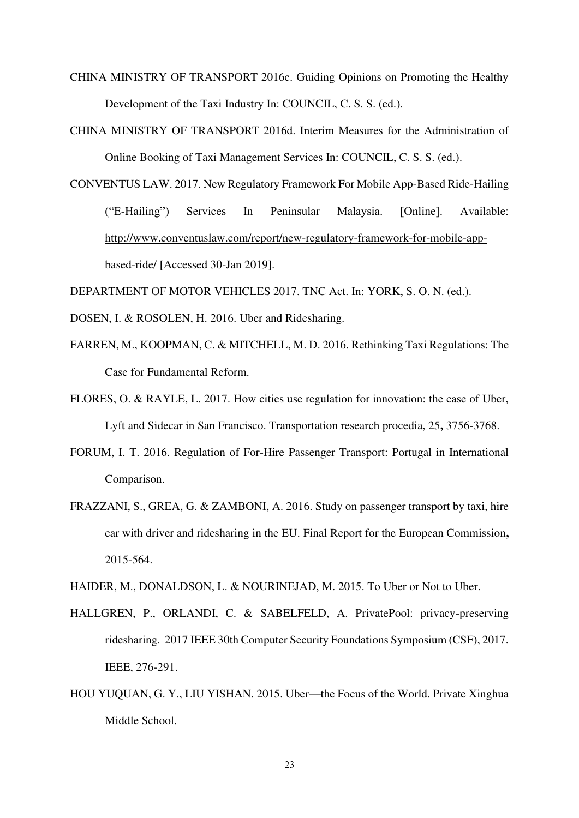- CHINA MINISTRY OF TRANSPORT 2016c. Guiding Opinions on Promoting the Healthy Development of the Taxi Industry In: COUNCIL, C. S. S. (ed.).
- CHINA MINISTRY OF TRANSPORT 2016d. Interim Measures for the Administration of Online Booking of Taxi Management Services In: COUNCIL, C. S. S. (ed.).
- CONVENTUS LAW. 2017. New Regulatory Framework For Mobile App-Based Ride-Hailing ("E-Hailing") Services In Peninsular Malaysia. [Online]. Available: [http://www.conventuslaw.com/report/new-regulatory-framework-for-mobile-app](http://www.conventuslaw.com/report/new-regulatory-framework-for-mobile-app-based-ride/)[based-ride/](http://www.conventuslaw.com/report/new-regulatory-framework-for-mobile-app-based-ride/) [Accessed 30-Jan 2019].

DEPARTMENT OF MOTOR VEHICLES 2017. TNC Act. In: YORK, S. O. N. (ed.).

- DOSEN, I. & ROSOLEN, H. 2016. Uber and Ridesharing.
- FARREN, M., KOOPMAN, C. & MITCHELL, M. D. 2016. Rethinking Taxi Regulations: The Case for Fundamental Reform.
- FLORES, O. & RAYLE, L. 2017. How cities use regulation for innovation: the case of Uber, Lyft and Sidecar in San Francisco. Transportation research procedia, 25**,** 3756-3768.
- FORUM, I. T. 2016. Regulation of For-Hire Passenger Transport: Portugal in International Comparison.
- FRAZZANI, S., GREA, G. & ZAMBONI, A. 2016. Study on passenger transport by taxi, hire car with driver and ridesharing in the EU. Final Report for the European Commission**,** 2015-564.

HAIDER, M., DONALDSON, L. & NOURINEJAD, M. 2015. To Uber or Not to Uber.

- HALLGREN, P., ORLANDI, C. & SABELFELD, A. PrivatePool: privacy-preserving ridesharing. 2017 IEEE 30th Computer Security Foundations Symposium (CSF), 2017. IEEE, 276-291.
- HOU YUQUAN, G. Y., LIU YISHAN. 2015. Uber—the Focus of the World. Private Xinghua Middle School.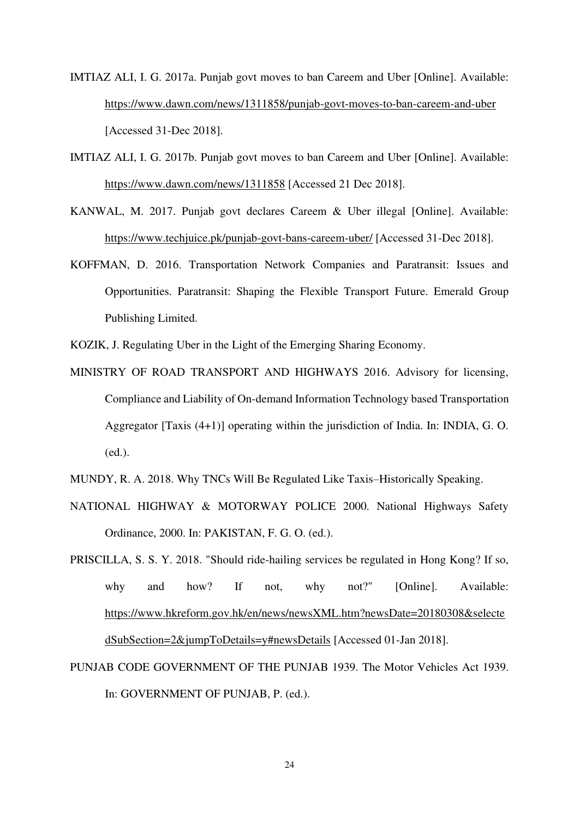IMTIAZ ALI, I. G. 2017a. Punjab govt moves to ban Careem and Uber [Online]. Available: <https://www.dawn.com/news/1311858/punjab-govt-moves-to-ban-careem-and-uber> [Accessed 31-Dec 2018].

- IMTIAZ ALI, I. G. 2017b. Punjab govt moves to ban Careem and Uber [Online]. Available: <https://www.dawn.com/news/1311858>[Accessed 21 Dec 2018].
- KANWAL, M. 2017. Punjab govt declares Careem & Uber illegal [Online]. Available: <https://www.techjuice.pk/punjab-govt-bans-careem-uber/>[Accessed 31-Dec 2018].
- KOFFMAN, D. 2016. Transportation Network Companies and Paratransit: Issues and Opportunities. Paratransit: Shaping the Flexible Transport Future. Emerald Group Publishing Limited.

KOZIK, J. Regulating Uber in the Light of the Emerging Sharing Economy.

- MINISTRY OF ROAD TRANSPORT AND HIGHWAYS 2016. Advisory for licensing, Compliance and Liability of On-demand Information Technology based Transportation Aggregator [Taxis (4+1)] operating within the jurisdiction of India. In: INDIA, G. O. (ed.).
- MUNDY, R. A. 2018. Why TNCs Will Be Regulated Like Taxis–Historically Speaking.
- NATIONAL HIGHWAY & MOTORWAY POLICE 2000. National Highways Safety Ordinance, 2000. In: PAKISTAN, F. G. O. (ed.).
- PRISCILLA, S. S. Y. 2018. "Should ride-hailing services be regulated in Hong Kong? If so, why and how? If not, why not?" [Online]. Available: [https://www.hkreform.gov.hk/en/news/newsXML.htm?newsDate=20180308&selecte](https://www.hkreform.gov.hk/en/news/newsXML.htm?newsDate=20180308&selectedSubSection=2&jumpToDetails=y#newsDetails) [dSubSection=2&jumpToDetails=y#newsDetails](https://www.hkreform.gov.hk/en/news/newsXML.htm?newsDate=20180308&selectedSubSection=2&jumpToDetails=y#newsDetails) [Accessed 01-Jan 2018].
- PUNJAB CODE GOVERNMENT OF THE PUNJAB 1939. The Motor Vehicles Act 1939. In: GOVERNMENT OF PUNJAB, P. (ed.).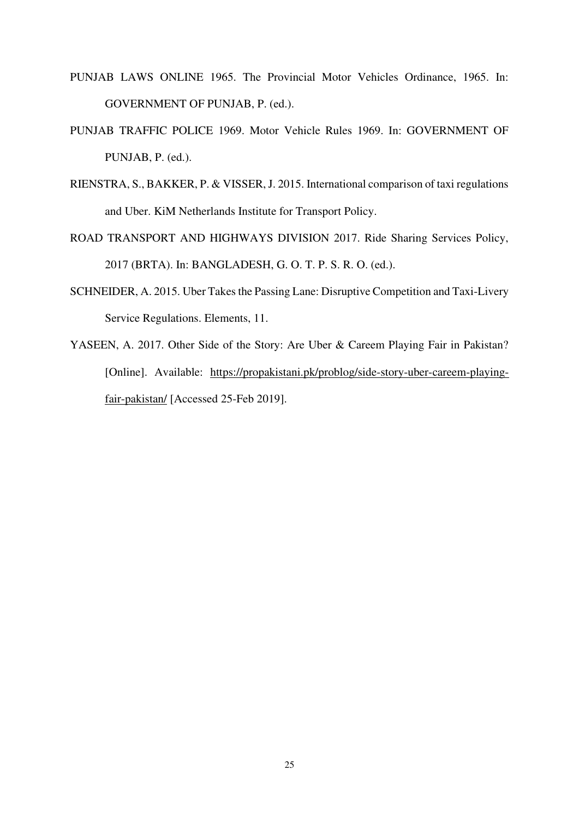- PUNJAB LAWS ONLINE 1965. The Provincial Motor Vehicles Ordinance, 1965. In: GOVERNMENT OF PUNJAB, P. (ed.).
- PUNJAB TRAFFIC POLICE 1969. Motor Vehicle Rules 1969. In: GOVERNMENT OF PUNJAB, P. (ed.).
- RIENSTRA, S., BAKKER, P. & VISSER, J. 2015. International comparison of taxi regulations and Uber. KiM Netherlands Institute for Transport Policy.
- ROAD TRANSPORT AND HIGHWAYS DIVISION 2017. Ride Sharing Services Policy, 2017 (BRTA). In: BANGLADESH, G. O. T. P. S. R. O. (ed.).
- SCHNEIDER, A. 2015. Uber Takes the Passing Lane: Disruptive Competition and Taxi-Livery Service Regulations. Elements, 11.
- YASEEN, A. 2017. Other Side of the Story: Are Uber & Careem Playing Fair in Pakistan? [Online]. Available: [https://propakistani.pk/problog/side-story-uber-careem-playing](https://propakistani.pk/problog/side-story-uber-careem-playing-fair-pakistan/)[fair-pakistan/](https://propakistani.pk/problog/side-story-uber-careem-playing-fair-pakistan/) [Accessed 25-Feb 2019].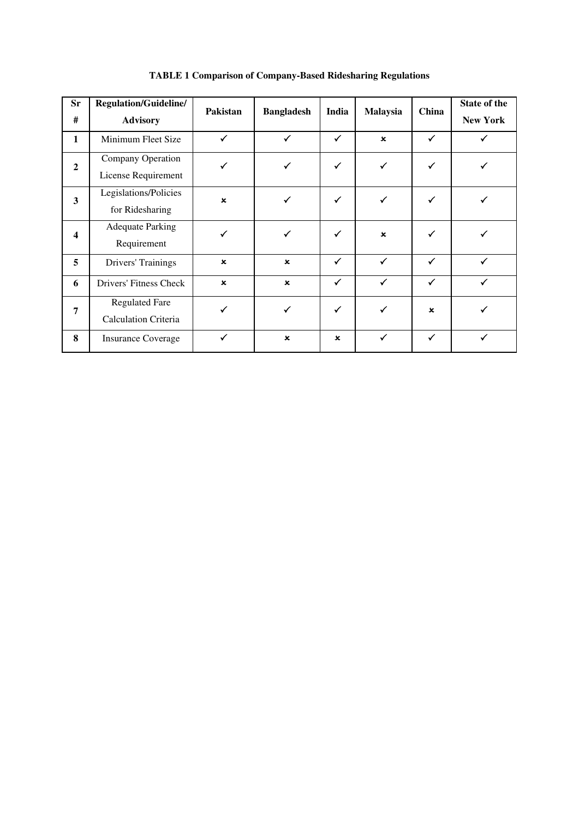| <b>Sr</b><br>#          | <b>Regulation/Guideline/</b><br><b>Advisory</b>      | Pakistan                  | <b>Bangladesh</b> | India        | <b>Malaysia</b> | China        | State of the<br><b>New York</b> |
|-------------------------|------------------------------------------------------|---------------------------|-------------------|--------------|-----------------|--------------|---------------------------------|
| $\mathbf{1}$            | Minimum Fleet Size                                   | $\checkmark$              | $\checkmark$      | $\checkmark$ | $\mathbf{x}$    | $\checkmark$ | ✓                               |
| $\overline{2}$          | Company Operation<br>License Requirement             | ✓                         | $\checkmark$      | $\checkmark$ | $\checkmark$    | $\checkmark$ |                                 |
| $\overline{\mathbf{3}}$ | Legislations/Policies<br>for Ridesharing             | $\boldsymbol{\mathsf{x}}$ | ✓                 | $\checkmark$ | ✓               | ✓            |                                 |
| $\overline{\mathbf{4}}$ | <b>Adequate Parking</b><br>Requirement               | ✓                         | $\checkmark$      | ✓            | $\mathbf{x}$    | $\checkmark$ |                                 |
| 5                       | <b>Drivers' Trainings</b>                            | $\mathbf x$               | $\mathbf x$       | $\checkmark$ | $\checkmark$    | $\checkmark$ | $\checkmark$                    |
| 6                       | Drivers' Fitness Check                               | $\boldsymbol{\mathsf{x}}$ | $\pmb{\times}$    | $\checkmark$ | $\checkmark$    | $\checkmark$ | ✓                               |
| 7                       | <b>Regulated Fare</b><br><b>Calculation Criteria</b> | ✓                         | ✓                 | $\checkmark$ | $\checkmark$    | $\mathbf x$  |                                 |
| 8                       | <b>Insurance Coverage</b>                            | $\checkmark$              | $\pmb{\times}$    | $\mathbf x$  | $\checkmark$    | $\checkmark$ |                                 |

**TABLE 1 Comparison of Company-Based Ridesharing Regulations**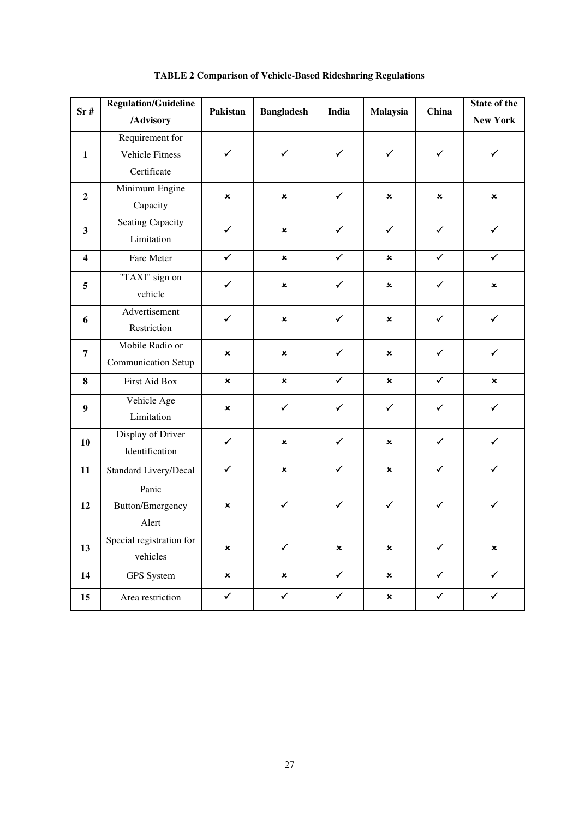| Sr#                     | <b>Regulation/Guideline</b><br>/Advisory                 | Pakistan                  | <b>Bangladesh</b> | India          | Malaysia                  | China        | State of the<br><b>New York</b> |
|-------------------------|----------------------------------------------------------|---------------------------|-------------------|----------------|---------------------------|--------------|---------------------------------|
| $\mathbf{1}$            | Requirement for<br><b>Vehicle Fitness</b><br>Certificate | $\checkmark$              | $\checkmark$      | $\checkmark$   | $\checkmark$              | $\checkmark$ | ✓                               |
| $\overline{2}$          | Minimum Engine<br>Capacity                               | $\mathbf x$               | $\pmb{\times}$    | $\checkmark$   | $\pmb{\times}$            | ×            | $\mathbf x$                     |
| $\mathbf{3}$            | <b>Seating Capacity</b><br>Limitation                    | $\checkmark$              | ×                 | $\checkmark$   | $\checkmark$              | $\checkmark$ | $\checkmark$                    |
| $\overline{\mathbf{4}}$ | Fare Meter                                               | $\checkmark$              | $\mathbf{x}$      | $\checkmark$   | ×                         | $\checkmark$ | $\checkmark$                    |
| 5                       | "TAXI" sign on<br>vehicle                                | $\checkmark$              | ×                 | $\checkmark$   | $\pmb{\times}$            | $\checkmark$ | $\pmb{\times}$                  |
| 6                       | Advertisement<br>Restriction                             | $\checkmark$              | ×                 | $\checkmark$   | ×                         | $\checkmark$ | $\checkmark$                    |
| $\overline{7}$          | Mobile Radio or<br><b>Communication Setup</b>            | ×                         | ×                 | $\checkmark$   | ×                         | $\checkmark$ | $\checkmark$                    |
| 8                       | First Aid Box                                            | $\boldsymbol{\mathsf{x}}$ | $\mathbf x$       | $\checkmark$   | $\boldsymbol{\mathsf{x}}$ | $\checkmark$ | $\boldsymbol{\mathsf{x}}$       |
| $\boldsymbol{9}$        | Vehicle Age<br>Limitation                                | ×                         | $\checkmark$      | $\checkmark$   | $\checkmark$              | $\checkmark$ | $\checkmark$                    |
| 10                      | Display of Driver<br>Identification                      | $\checkmark$              | ×                 | $\checkmark$   | ×                         | $\checkmark$ | $\checkmark$                    |
| 11                      | Standard Livery/Decal                                    | $\checkmark$              | ×                 | $\checkmark$   | ×                         | $\checkmark$ | $\checkmark$                    |
| 12                      | Panic<br>Button/Emergency<br>Alert                       | ×                         | $\checkmark$      | ✓              | $\checkmark$              | ✓            | $\checkmark$                    |
| 13                      | Special registration for<br>vehicles                     | $\pmb{\times}$            | $\checkmark$      | $\pmb{\times}$ | $\pmb{\times}$            | $\checkmark$ | $\pmb{\times}$                  |
| 14                      | <b>GPS</b> System                                        | $\pmb{\times}$            | $\pmb{\times}$    | $\checkmark$   | $\pmb{\times}$            | $\checkmark$ | $\checkmark$                    |
| 15                      | Area restriction                                         | $\checkmark$              | $\checkmark$      | $\checkmark$   | $\boldsymbol{\mathsf{x}}$ | $\checkmark$ | $\checkmark$                    |

**TABLE 2 Comparison of Vehicle-Based Ridesharing Regulations**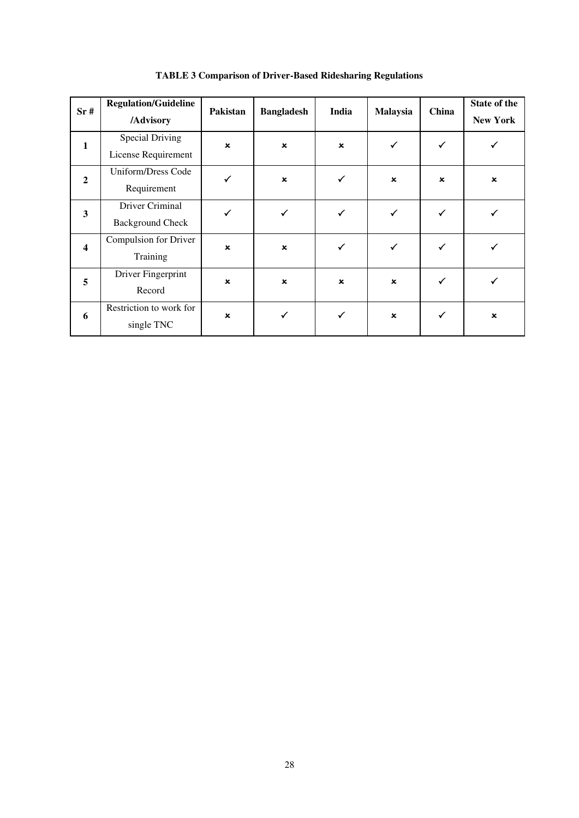| Sr#                     | <b>Regulation/Guideline</b><br>/Advisory      | Pakistan                  | <b>Bangladesh</b>         | India          | Malaysia                  | China        | State of the<br><b>New York</b> |
|-------------------------|-----------------------------------------------|---------------------------|---------------------------|----------------|---------------------------|--------------|---------------------------------|
| $\mathbf{1}$            | <b>Special Driving</b><br>License Requirement | $\boldsymbol{\mathsf{x}}$ | $\boldsymbol{\mathsf{x}}$ | $\pmb{\times}$ | ✓                         | $\checkmark$ |                                 |
| $\overline{2}$          | Uniform/Dress Code<br>Requirement             |                           | $\pmb{\times}$            | ✓              | $\pmb{\times}$            | $\mathbf x$  | $\boldsymbol{\mathsf{x}}$       |
| $\mathbf{3}$            | Driver Criminal<br><b>Background Check</b>    |                           | ✓                         | $\checkmark$   | ✓                         |              |                                 |
| $\overline{\mathbf{4}}$ | Compulsion for Driver<br>Training             | $\boldsymbol{\mathsf{x}}$ | $\pmb{\times}$            | $\checkmark$   | ✓                         |              |                                 |
| 5                       | Driver Fingerprint<br>Record                  | $\pmb{\times}$            | $\pmb{\times}$            | $\pmb{\times}$ | $\pmb{\times}$            | ✓            |                                 |
| 6                       | Restriction to work for<br>single TNC         | $\boldsymbol{\mathsf{x}}$ | ✓                         | ✓              | $\boldsymbol{\mathsf{x}}$ | $\checkmark$ | $\pmb{\times}$                  |

**TABLE 3 Comparison of Driver-Based Ridesharing Regulations**